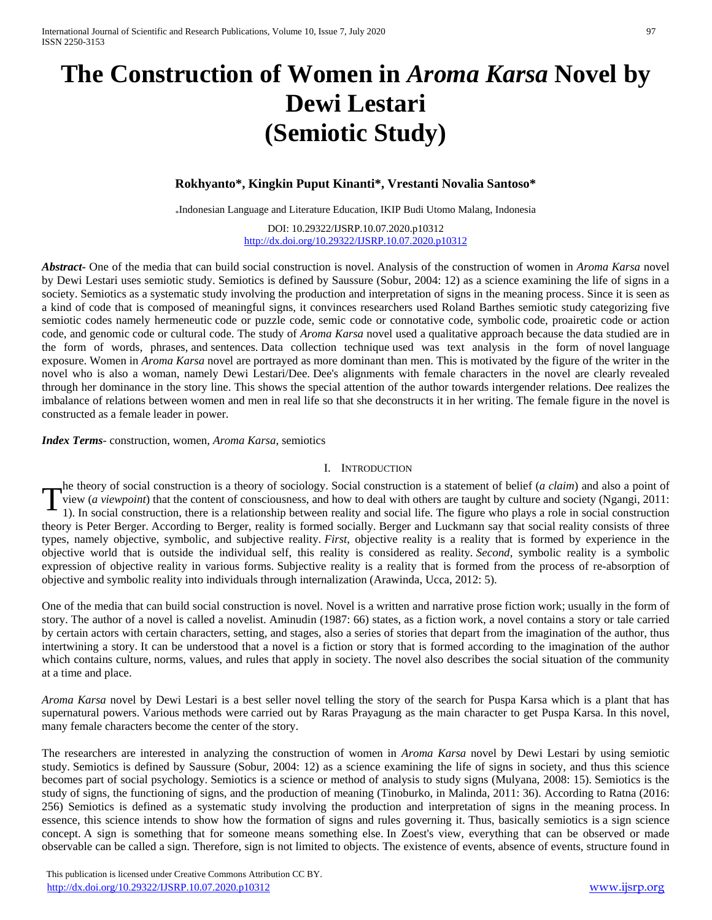# **The Construction of Women in** *Aroma Karsa* **Novel by Dewi Lestari (Semiotic Study)**

## **Rokhyanto\*, Kingkin Puput Kinanti\*, Vrestanti Novalia Santoso\***

\* Indonesian Language and Literature Education, IKIP Budi Utomo Malang, Indonesia

DOI: 10.29322/IJSRP.10.07.2020.p10312 <http://dx.doi.org/10.29322/IJSRP.10.07.2020.p10312>

*Abstract***-** One of the media that can build social construction is novel. Analysis of the construction of women in *Aroma Karsa* novel by Dewi Lestari uses semiotic study. Semiotics is defined by Saussure (Sobur, 2004: 12) as a science examining the life of signs in a society. Semiotics as a systematic study involving the production and interpretation of signs in the meaning process. Since it is seen as a kind of code that is composed of meaningful signs, it convinces researchers used Roland Barthes semiotic study categorizing five semiotic codes namely hermeneutic code or puzzle code, semic code or connotative code, symbolic code, proairetic code or action code, and genomic code or cultural code. The study of *Aroma Karsa* novel used a qualitative approach because the data studied are in the form of words, phrases, and sentences. Data collection technique used was text analysis in the form of novel language exposure. Women in *Aroma Karsa* novel are portrayed as more dominant than men. This is motivated by the figure of the writer in the novel who is also a woman, namely Dewi Lestari/Dee. Dee's alignments with female characters in the novel are clearly revealed through her dominance in the story line. This shows the special attention of the author towards intergender relations. Dee realizes the imbalance of relations between women and men in real life so that she deconstructs it in her writing. The female figure in the novel is constructed as a female leader in power.

### *Index Terms*- construction, women, *Aroma Karsa*, semiotics

## I. INTRODUCTION

he theory of social construction is a theory of sociology. Social construction is a statement of belief (*a claim*) and also a point of view (*a viewpoint*) that the content of consciousness, and how to deal with others are taught by culture and society (Ngangi, 2011: 1). In social construction, there is a relationship between reality and social life. The figure who plays a role in social construction theory is Peter Berger. According to Berger, reality is formed socially. Berger and Luckmann say that social reality consists of three types, namely objective, symbolic, and subjective reality. *First*, objective reality is a reality that is formed by experience in the objective world that is outside the individual self, this reality is considered as reality. *Second*, symbolic reality is a symbolic expression of objective reality in various forms. Subjective reality is a reality that is formed from the process of re-absorption of objective and symbolic reality into individuals through internalization (Arawinda, Ucca, 2012: 5). T

One of the media that can build social construction is novel. Novel is a written and narrative [prose](https://translate.google.com/translate?hl=id&prev=_t&sl=id&tl=en&u=http://id.wikipedia.org/wiki/Prosa) [fiction](https://translate.google.com/translate?hl=id&prev=_t&sl=id&tl=en&u=http://id.wikipedia.org/wiki/Prosa) work; usually in the form of story. The author of a novel is called a novelist. Aminudin (1987: 66) states, as a fiction work, a novel contains a story or tale carried by certain actors with certain characters, setting, and stages, also a series of stories that depart from the imagination of the author, thus intertwining a story. It can be understood that a novel is a fiction or story that is formed according to the imagination of the author which contains culture, norms, values, and rules that apply in society. The novel also describes the social situation of the community at a time and place.

*Aroma Karsa* novel by Dewi Lestari is a best seller novel telling the story of the search for Puspa Karsa which is a plant that has supernatural powers. Various methods were carried out by Raras Prayagung as the main character to get Puspa Karsa. In this novel, many female characters become the center of the story.

The researchers are interested in analyzing the construction of women in *Aroma Karsa* novel by Dewi Lestari by using semiotic study. Semiotics is defined by Saussure (Sobur, 2004: 12) as a science examining the life of signs in society, and thus this science becomes part of social psychology. Semiotics is a science or method of analysis to study signs (Mulyana, 2008: 15). Semiotics is the study of signs, the functioning of signs, and the production of meaning (Tinoburko, in Malinda, 2011: 36). According to Ratna (2016: 256) Semiotics is defined as a systematic study involving the production and interpretation of signs in the meaning process. In essence, this science intends to show how the formation of signs and rules governing it. Thus, basically semiotics is a sign science concept. A sign is something that for someone means something else. In Zoest's view, everything that can be observed or made observable can be called a sign. Therefore, sign is not limited to objects. The existence of events, absence of events, structure found in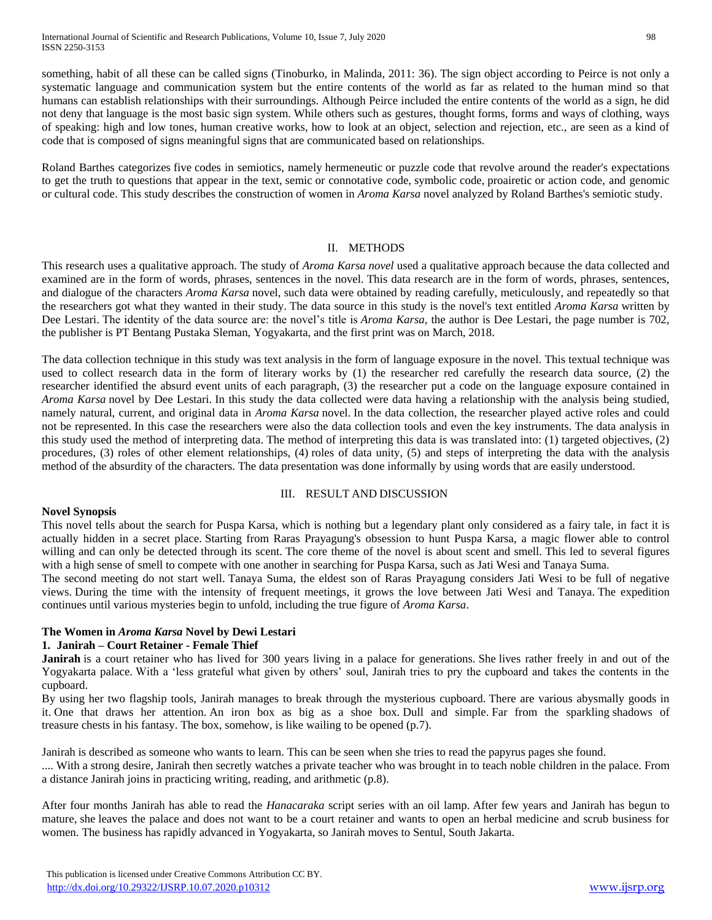something, habit of all these can be called signs (Tinoburko, in Malinda, 2011: 36). The sign object according to Peirce is not only a systematic language and communication system but the entire contents of the world as far as related to the human mind so that humans can establish relationships with their surroundings. Although Peirce included the entire contents of the world as a sign, he did not deny that language is the most basic sign system. While others such as gestures, thought forms, forms and ways of clothing, ways of speaking: high and low tones, human creative works, how to look at an object, selection and rejection, etc., are seen as a kind of code that is composed of signs meaningful signs that are communicated based on relationships.

Roland Barthes categorizes five codes in semiotics, namely hermeneutic or puzzle code that revolve around the reader's expectations to get the truth to questions that appear in the text, semic or connotative code, symbolic code, proairetic or action code, and genomic or cultural code. This study describes the construction of women in *Aroma Karsa* novel analyzed by Roland Barthes's semiotic study.

#### II. METHODS

This research uses a qualitative approach. The study of *Aroma Karsa novel* used a qualitative approach because the data collected and examined are in the form of words, phrases, sentences in the novel. This data research are in the form of words, phrases, sentences, and dialogue of the characters *Aroma Karsa* novel, such data were obtained by reading carefully, meticulously, and repeatedly so that the researchers got what they wanted in their study. The data source in this study is the novel's text entitled *Aroma Karsa* written by Dee Lestari. The identity of the data source are: the novel's title is *Aroma Karsa*, the author is Dee Lestari, the page number is 702, the publisher is PT Bentang Pustaka Sleman, Yogyakarta, and the first print was on March, 2018.

The data collection technique in this study was text analysis in the form of language exposure in the novel. This textual technique was used to collect research data in the form of literary works by (1) the researcher red carefully the research data source, (2) the researcher identified the absurd event units of each paragraph, (3) the researcher put a code on the language exposure contained in *Aroma Karsa* novel by Dee Lestari. In this study the data collected were data having a relationship with the analysis being studied, namely natural, current, and original data in *Aroma Karsa* novel. In the data collection, the researcher played active roles and could not be represented. In this case the researchers were also the data collection tools and even the key instruments. The data analysis in this study used the method of interpreting data. The method of interpreting this data is was translated into: (1) targeted objectives, (2) procedures, (3) roles of other element relationships, (4) roles of data unity, (5) and steps of interpreting the data with the analysis method of the absurdity of the characters. The data presentation was done informally by using words that are easily understood.

#### III. RESULT AND DISCUSSION

#### **Novel Synopsis**

This novel tells about the search for Puspa Karsa, which is nothing but a legendary plant only considered as a fairy tale, in fact it is actually hidden in a secret place. Starting from Raras Prayagung's obsession to hunt Puspa Karsa, a magic flower able to control willing and can only be detected through its scent. The core theme of the novel is about scent and smell. This led to several figures with a high sense of smell to compete with one another in searching for Puspa Karsa, such as Jati Wesi and Tanaya Suma.

The second meeting do not start well. Tanaya Suma, the eldest son of Raras Prayagung considers Jati Wesi to be full of negative views. During the time with the intensity of frequent meetings, it grows the love between Jati Wesi and Tanaya. The expedition continues until various mysteries begin to unfold, including the true figure of *Aroma Karsa*.

## **The Women in** *Aroma Karsa* **Novel by Dewi Lestari**

#### **1. Janirah – Court Retainer - Female Thief**

**Janirah** is a court retainer who has lived for 300 years living in a palace for generations. She lives rather freely in and out of the Yogyakarta palace. With a 'less grateful what given by others' soul, Janirah tries to pry the cupboard and takes the contents in the cupboard.

By using her two flagship tools, Janirah manages to break through the mysterious cupboard. There are various abysmally goods in it. One that draws her attention. An iron box as big as a shoe box. Dull and simple. Far from the sparkling shadows of treasure chests in his fantasy. The box, somehow, is like wailing to be opened (p.7).

Janirah is described as someone who wants to learn. This can be seen when she tries to read the papyrus pages she found.

.... With a strong desire, Janirah then secretly watches a private teacher who was brought in to teach noble children in the palace. From a distance Janirah joins in practicing writing, reading, and arithmetic (p.8).

After four months Janirah has able to read the *Hanacaraka* script series with an oil lamp. After few years and Janirah has begun to mature, she leaves the palace and does not want to be a court retainer and wants to open an herbal medicine and scrub business for women. The business has rapidly advanced in Yogyakarta, so Janirah moves to Sentul, South Jakarta.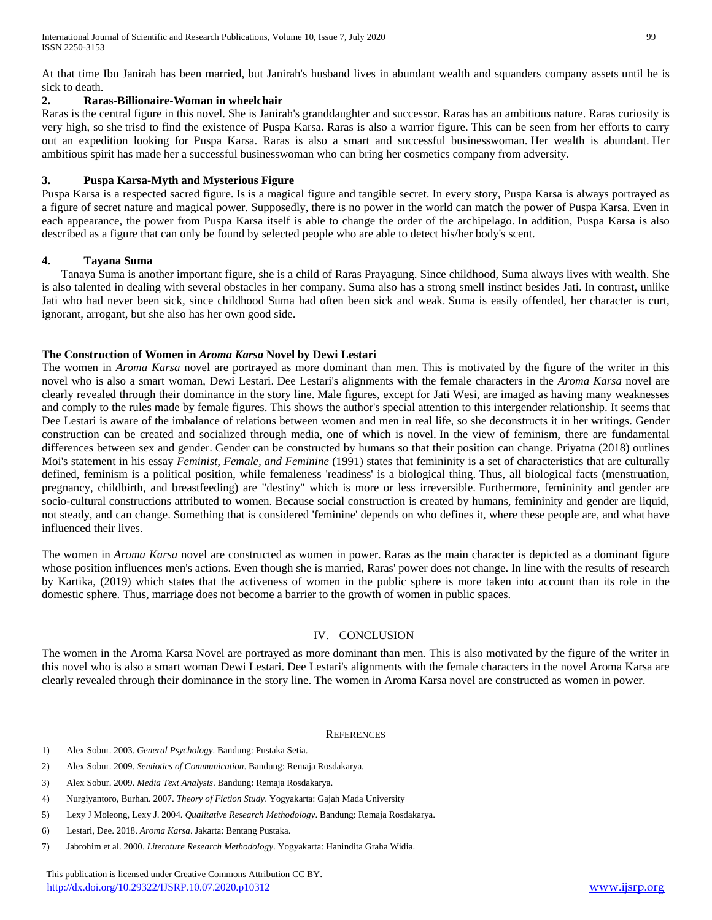At that time Ibu Janirah has been married, but Janirah's husband lives in abundant wealth and squanders company assets until he is sick to death

## **2. Raras-Billionaire-Woman in wheelchair**

Raras is the central figure in this novel. She is Janirah's granddaughter and successor. Raras has an ambitious nature. Raras curiosity is very high, so she trisd to find the existence of Puspa Karsa. Raras is also a warrior figure. This can be seen from her efforts to carry out an expedition looking for Puspa Karsa. Raras is also a smart and successful businesswoman. Her wealth is abundant. Her ambitious spirit has made her a successful businesswoman who can bring her cosmetics company from adversity.

## **3. Puspa Karsa-Myth and Mysterious Figure**

Puspa Karsa is a respected sacred figure. Is is a magical figure and tangible secret. In every story, Puspa Karsa is always portrayed as a figure of secret nature and magical power. Supposedly, there is no power in the world can match the power of Puspa Karsa. Even in each appearance, the power from Puspa Karsa itself is able to change the order of the archipelago. In addition, Puspa Karsa is also described as a figure that can only be found by selected people who are able to detect his/her body's scent.

#### **4. Tayana Suma**

Tanaya Suma is another important figure, she is a child of Raras Prayagung. Since childhood, Suma always lives with wealth. She is also talented in dealing with several obstacles in her company. Suma also has a strong smell instinct besides Jati. In contrast, unlike Jati who had never been sick, since childhood Suma had often been sick and weak. Suma is easily offended, her character is curt, ignorant, arrogant, but she also has her own good side.

## **The Construction of Women in** *Aroma Karsa* **Novel by Dewi Lestari**

The women in *Aroma Karsa* novel are portrayed as more dominant than men. This is motivated by the figure of the writer in this novel who is also a smart woman, Dewi Lestari. Dee Lestari's alignments with the female characters in the *Aroma Karsa* novel are clearly revealed through their dominance in the story line. Male figures, except for Jati Wesi, are imaged as having many weaknesses and comply to the rules made by female figures. This shows the author's special attention to this intergender relationship. It seems that Dee Lestari is aware of the imbalance of relations between women and men in real life, so she deconstructs it in her writings. Gender construction can be created and socialized through media, one of which is novel. In the view of feminism, there are fundamental differences between sex and gender. Gender can be constructed by humans so that their position can change. Priyatna (2018) outlines Moi's statement in his essay *Feminist, Female, and Feminine* (1991) states that femininity is a set of characteristics that are culturally defined, feminism is a political position, while femaleness 'readiness' is a biological thing. Thus, all biological facts (menstruation, pregnancy, childbirth, and breastfeeding) are "destiny" which is more or less irreversible. Furthermore, femininity and gender are socio-cultural constructions attributed to women. Because social construction is created by humans, femininity and gender are liquid, not steady, and can change. Something that is considered 'feminine' depends on who defines it, where these people are, and what have influenced their lives.

The women in *Aroma Karsa* novel are constructed as women in power. Raras as the main character is depicted as a dominant figure whose position influences men's actions. Even though she is married, Raras' power does not change. In line with the results of research by Kartika, (2019) which states that the activeness of women in the public sphere is more taken into account than its role in the domestic sphere. Thus, marriage does not become a barrier to the growth of women in public spaces.

## IV. CONCLUSION

The women in the Aroma Karsa Novel are portrayed as more dominant than men. This is also motivated by the figure of the writer in this novel who is also a smart woman Dewi Lestari. Dee Lestari's alignments with the female characters in the novel Aroma Karsa are clearly revealed through their dominance in the story line. The women in Aroma Karsa novel are constructed as women in power.

#### **REFERENCES**

- 1) Alex Sobur. 2003. *General Psychology*. Bandung: Pustaka Setia.
- 2) Alex Sobur. 2009. *Semiotics of Communication*. Bandung: Remaja Rosdakarya.
- 3) Alex Sobur. 2009. *Media Text Analysis*. Bandung: Remaja Rosdakarya.
- 4) Nurgiyantoro, Burhan. 2007. *Theory of Fiction Study*. Yogyakarta: Gajah Mada University
- 5) Lexy J Moleong, Lexy J. 2004. *Qualitative Research Methodology*. Bandung: Remaja Rosdakarya.
- 6) Lestari, Dee. 2018. *Aroma Karsa*. Jakarta: Bentang Pustaka.
- 7) Jabrohim et al. 2000. *Literature Research Methodology*. Yogyakarta: Hanindita Graha Widia.

 This publication is licensed under Creative Commons Attribution CC BY. <http://dx.doi.org/10.29322/IJSRP.10.07.2020.p10312> [www.ijsrp.org](http://ijsrp.org/)